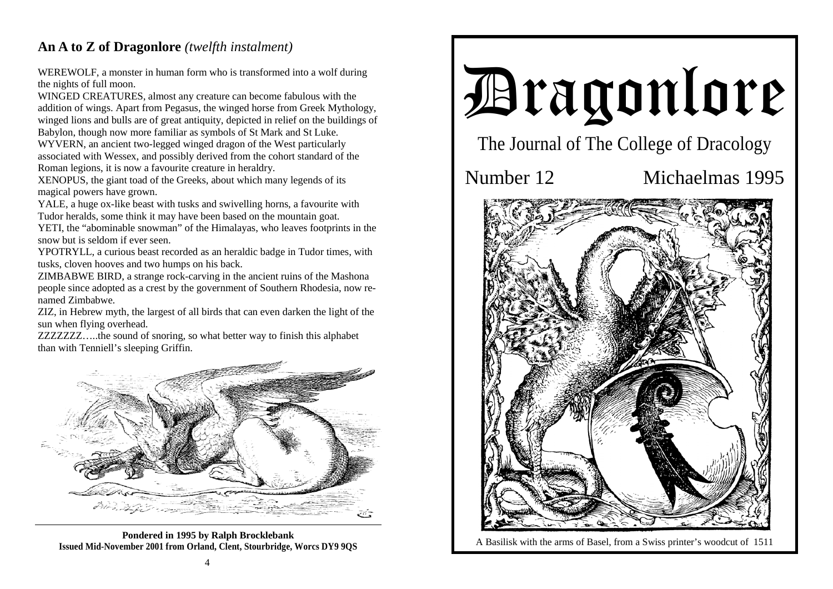## **An A to Z of Dragonlore** *(twelfth instalment)*

WEREWOLF, a monster in human form who is transformed into a wolf during the nights of full moon.

WINGED CREATURES, almost any creature can become fabulous with the addition of wings. Apart from Pegasus, the winged horse from Greek Mythology, winged lions and bulls are of great antiquity, depicted in relief on the buildings of Babylon, though now more familiar as symbols of St Mark and St Luke.

WYVERN, an ancient two-legged winged dragon of the West particularly associated with Wessex, and possibly derived from the cohort standard of the Roman legions, it is now a favourite creature in heraldry.

XENOPUS, the giant toad of the Greeks, about which many legends of its magical powers have grown.

YALE, a huge ox-like beast with tusks and swivelling horns, a favourite with Tudor heralds, some think it may have been based on the mountain goat.

YETI, the "abominable snowman" of the Himalayas, who leaves footprints in the snow but is seldom if ever seen.

YPOTRYLL, a curious beast recorded as an heraldic badge in Tudor times, with tusks, cloven hooves and two humps on his back.

ZIMBABWE BIRD, a strange rock-carving in the ancient ruins of the Mashona people since adopted as a crest by the government of Southern Rhodesia, now renamed Zimbabwe.

ZIZ, in Hebrew myth, the largest of all birds that can even darken the light of the sun when flying overhead.

ZZZZZZZ…..the sound of snoring, so what better way to finish this alphabet than with Tenniell's sleeping Griffin.



**Pondered in 1995 by Ralph Brocklebank Issued Mid-November 2001 from Orland, Clent, Stourbridge, Worcs DY9 9QS**